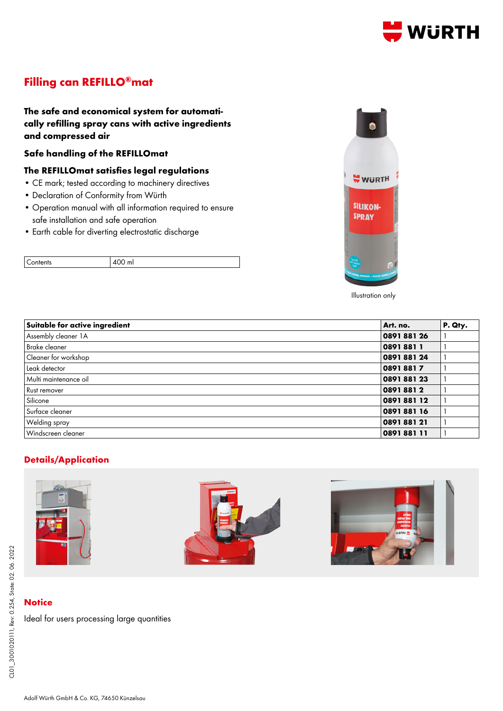

# **Filling can REFILLO®mat**

**The safe and economical system for automatically refilling spray cans with active ingredients and compressed air**

### **Safe handling of the REFILLOmat**

### **The REFILLOmat satisfies legal regulations**

- CE mark; tested according to machinery directives
- Declaration of Conformity from Würth
- Operation manual with all information required to ensure safe installation and safe operation
- Earth cable for diverting electrostatic discharge





Illustration only

| Suitable for active ingredient | Art. no.  | P. Qty. |
|--------------------------------|-----------|---------|
| Assembly cleaner 1A            | 089188126 |         |
| Brake cleaner                  | 08918811  |         |
| Cleaner for workshop           | 089188124 |         |
| Leak detector                  | 08918817  |         |
| Multi maintenance oil          | 089188123 |         |
| Rust remover                   | 08918812  |         |
| Silicone                       | 089188112 |         |
| Surface cleaner                | 089188116 |         |
| Welding spray                  | 089188121 |         |
| Windscreen cleaner             | 089188111 |         |

## **Details/Application**







## **Notice**

Ideal for users processing large quantities